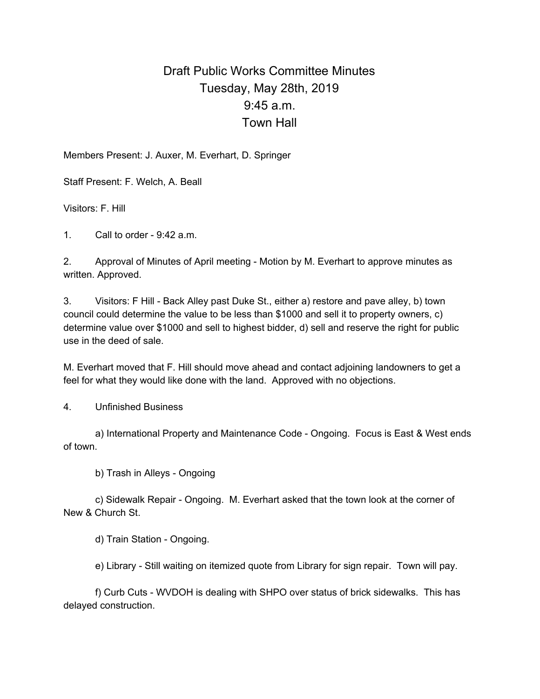## Draft Public Works Committee Minutes Tuesday, May 28th, 2019 9:45 a.m. Town Hall

Members Present: J. Auxer, M. Everhart, D. Springer

Staff Present: F. Welch, A. Beall

Visitors: F. Hill

1. Call to order - 9:42 a.m.

2. Approval of Minutes of April meeting - Motion by M. Everhart to approve minutes as written. Approved.

3. Visitors: F Hill - Back Alley past Duke St., either a) restore and pave alley, b) town council could determine the value to be less than \$1000 and sell it to property owners, c) determine value over \$1000 and sell to highest bidder, d) sell and reserve the right for public use in the deed of sale.

M. Everhart moved that F. Hill should move ahead and contact adjoining landowners to get a feel for what they would like done with the land. Approved with no objections.

4. Unfinished Business

a) International Property and Maintenance Code - Ongoing. Focus is East & West ends of town.

b) Trash in Alleys - Ongoing

c) Sidewalk Repair - Ongoing. M. Everhart asked that the town look at the corner of New & Church St.

d) Train Station - Ongoing.

e) Library - Still waiting on itemized quote from Library for sign repair. Town will pay.

f) Curb Cuts - WVDOH is dealing with SHPO over status of brick sidewalks. This has delayed construction.